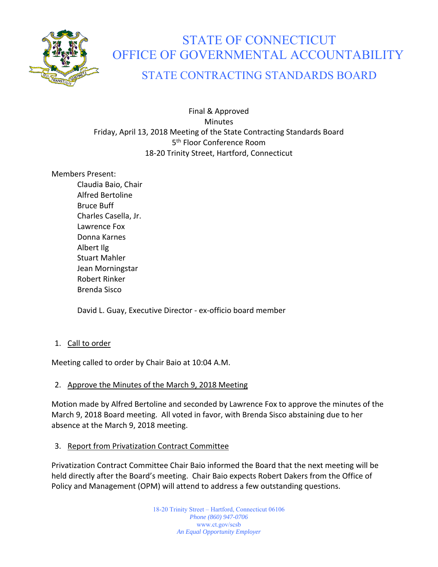

# STATE OF CONNECTICUT OFFICE OF GOVERNMENTAL ACCOUNTABILITY

# STATE CONTRACTING STANDARDS BOARD

Final & Approved Minutes Friday, April 13, 2018 Meeting of the State Contracting Standards Board 5<sup>th</sup> Floor Conference Room 18‐20 Trinity Street, Hartford, Connecticut

### Members Present:

Claudia Baio, Chair Alfred Bertoline Bruce Buff Charles Casella, Jr. Lawrence Fox Donna Karnes Albert Ilg Stuart Mahler Jean Morningstar Robert Rinker Brenda Sisco

David L. Guay, Executive Director ‐ ex‐officio board member

# 1. Call to order

Meeting called to order by Chair Baio at 10:04 A.M.

# 2. Approve the Minutes of the March 9, 2018 Meeting

Motion made by Alfred Bertoline and seconded by Lawrence Fox to approve the minutes of the March 9, 2018 Board meeting. All voted in favor, with Brenda Sisco abstaining due to her absence at the March 9, 2018 meeting.

# 3. Report from Privatization Contract Committee

Privatization Contract Committee Chair Baio informed the Board that the next meeting will be held directly after the Board's meeting. Chair Baio expects Robert Dakers from the Office of Policy and Management (OPM) will attend to address a few outstanding questions.

> 18-20 Trinity Street – Hartford, Connecticut 06106 *Phone (860) 947-0706*  www.ct.gov/scsb *An Equal Opportunity Employer*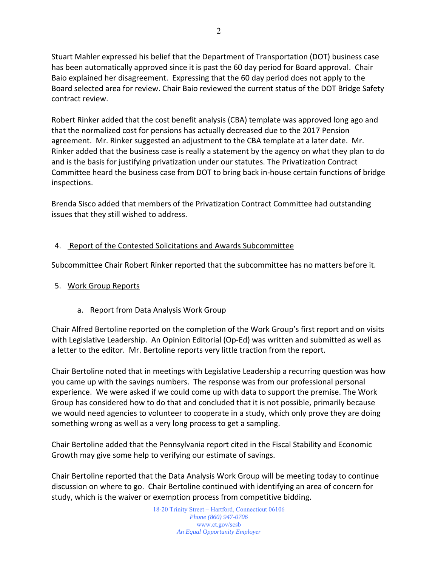Stuart Mahler expressed his belief that the Department of Transportation (DOT) business case has been automatically approved since it is past the 60 day period for Board approval. Chair Baio explained her disagreement. Expressing that the 60 day period does not apply to the Board selected area for review. Chair Baio reviewed the current status of the DOT Bridge Safety contract review.

Robert Rinker added that the cost benefit analysis (CBA) template was approved long ago and that the normalized cost for pensions has actually decreased due to the 2017 Pension agreement. Mr. Rinker suggested an adjustment to the CBA template at a later date. Mr. Rinker added that the business case is really a statement by the agency on what they plan to do and is the basis for justifying privatization under our statutes. The Privatization Contract Committee heard the business case from DOT to bring back in‐house certain functions of bridge inspections.

Brenda Sisco added that members of the Privatization Contract Committee had outstanding issues that they still wished to address.

# 4. Report of the Contested Solicitations and Awards Subcommittee

Subcommittee Chair Robert Rinker reported that the subcommittee has no matters before it.

#### 5. Work Group Reports

#### a. Report from Data Analysis Work Group

Chair Alfred Bertoline reported on the completion of the Work Group's first report and on visits with Legislative Leadership. An Opinion Editorial (Op-Ed) was written and submitted as well as a letter to the editor. Mr. Bertoline reports very little traction from the report.

Chair Bertoline noted that in meetings with Legislative Leadership a recurring question was how you came up with the savings numbers. The response was from our professional personal experience. We were asked if we could come up with data to support the premise. The Work Group has considered how to do that and concluded that it is not possible, primarily because we would need agencies to volunteer to cooperate in a study, which only prove they are doing something wrong as well as a very long process to get a sampling.

Chair Bertoline added that the Pennsylvania report cited in the Fiscal Stability and Economic Growth may give some help to verifying our estimate of savings.

Chair Bertoline reported that the Data Analysis Work Group will be meeting today to continue discussion on where to go. Chair Bertoline continued with identifying an area of concern for study, which is the waiver or exemption process from competitive bidding.

> 18-20 Trinity Street – Hartford, Connecticut 06106 *Phone (860) 947-0706*  www.ct.gov/scsb *An Equal Opportunity Employer*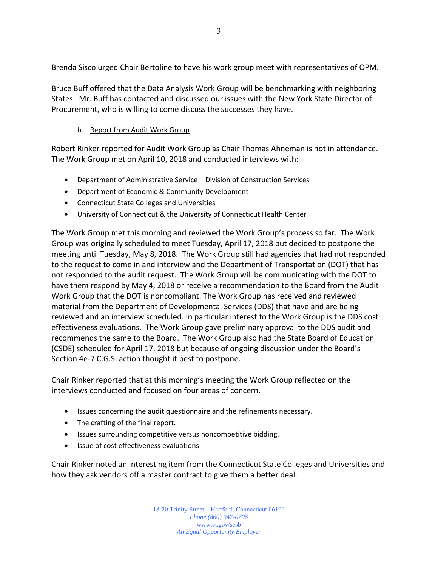Brenda Sisco urged Chair Bertoline to have his work group meet with representatives of OPM.

Bruce Buff offered that the Data Analysis Work Group will be benchmarking with neighboring States. Mr. Buff has contacted and discussed our issues with the New York State Director of Procurement, who is willing to come discuss the successes they have.

#### b. Report from Audit Work Group

Robert Rinker reported for Audit Work Group as Chair Thomas Ahneman is not in attendance. The Work Group met on April 10, 2018 and conducted interviews with:

- Department of Administrative Service Division of Construction Services
- Department of Economic & Community Development
- Connecticut State Colleges and Universities
- University of Connecticut & the University of Connecticut Health Center

The Work Group met this morning and reviewed the Work Group's process so far. The Work Group was originally scheduled to meet Tuesday, April 17, 2018 but decided to postpone the meeting until Tuesday, May 8, 2018. The Work Group still had agencies that had not responded to the request to come in and interview and the Department of Transportation (DOT) that has not responded to the audit request. The Work Group will be communicating with the DOT to have them respond by May 4, 2018 or receive a recommendation to the Board from the Audit Work Group that the DOT is noncompliant. The Work Group has received and reviewed material from the Department of Developmental Services (DDS) that have and are being reviewed and an interview scheduled. In particular interest to the Work Group is the DDS cost effectiveness evaluations. The Work Group gave preliminary approval to the DDS audit and recommends the same to the Board. The Work Group also had the State Board of Education (CSDE) scheduled for April 17, 2018 but because of ongoing discussion under the Board's Section 4e-7 C.G.S. action thought it best to postpone.

Chair Rinker reported that at this morning's meeting the Work Group reflected on the interviews conducted and focused on four areas of concern.

- Issues concerning the audit questionnaire and the refinements necessary.
- The crafting of the final report.
- Issues surrounding competitive versus noncompetitive bidding.
- Issue of cost effectiveness evaluations

Chair Rinker noted an interesting item from the Connecticut State Colleges and Universities and how they ask vendors off a master contract to give them a better deal.